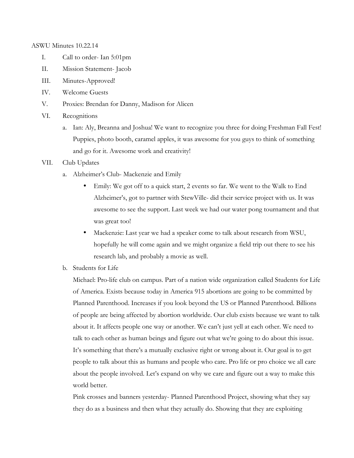ASWU Minutes 10.22.14

- I. Call to order- Ian 5:01pm
- II. Mission Statement- Jacob
- III. Minutes-Approved!
- IV. Welcome Guests
- V. Proxies: Brendan for Danny, Madison for Alicen
- VI. Recognitions
	- a. Ian: Aly, Breanna and Joshua! We want to recognize you three for doing Freshman Fall Fest! Puppies, photo booth, caramel apples, it was awesome for you guys to think of something and go for it. Awesome work and creativity!
- VII. Club Updates
	- a. Alzheimer's Club- Mackenzie and Emily
		- Emily: We got off to a quick start, 2 events so far. We went to the Walk to End Alzheimer's, got to partner with StewVille- did their service project with us. It was awesome to see the support. Last week we had our water pong tournament and that was great too!
		- Mackenzie: Last year we had a speaker come to talk about research from WSU, hopefully he will come again and we might organize a field trip out there to see his research lab, and probably a movie as well.
	- b. Students for Life

Michael: Pro-life club on campus. Part of a nation wide organization called Students for Life of America. Exists because today in America 915 abortions are going to be committed by Planned Parenthood. Increases if you look beyond the US or Planned Parenthood. Billions of people are being affected by abortion worldwide. Our club exists because we want to talk about it. It affects people one way or another. We can't just yell at each other. We need to talk to each other as human beings and figure out what we're going to do about this issue. It's something that there's a mutually exclusive right or wrong about it. Our goal is to get people to talk about this as humans and people who care. Pro life or pro choice we all care about the people involved. Let's expand on why we care and figure out a way to make this world better.

Pink crosses and banners yesterday- Planned Parenthood Project, showing what they say they do as a business and then what they actually do. Showing that they are exploiting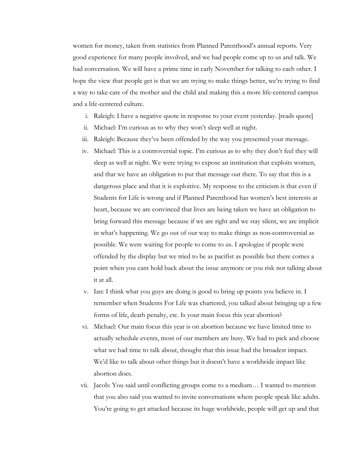women for money, taken from statistics from Planned Parenthood's annual reports. Very good experience for many people involved, and we had people come up to us and talk. We had conversation. We will have a prime time in early November for talking to each other. I hope the view that people get is that we are trying to make things better, we're trying to find a way to take care of the mother and the child and making this a more life-centered campus and a life-centered culture.

- i. Raleigh: I have a negative quote in response to your event yesterday. [reads quote]
- ii. Michael: I'm curious as to why they won't sleep well at night.
- iii. Raleigh: Because they've been offended by the way you presented your message.
- iv. Michael: This is a controversial topic. I'm curious as to why they don't feel they will sleep as well at night. We were trying to expose an institution that exploits women, and that we have an obligation to put that message out there. To say that this is a dangerous place and that it is exploitive. My response to the criticism is that even if Students for Life is wrong and if Planned Parenthood has women's best interests at heart, because we are convinced that lives are being taken we have an obligation to bring forward this message because if we are right and we stay silent, we are implicit in what's happening. We go out of our way to make things as non-controversial as possible. We were waiting for people to come to us. I apologize if people were offended by the display but we tried to be as pacifist as possible but there comes a point when you cant hold back about the issue anymore or you risk not talking about it at all.
- v. Ian: I think what you guys are doing is good to bring up points you believe in. I remember when Students For Life was chartered, you talked about bringing up a few forms of life, death penalty, etc. Is your main focus this year abortion?
- vi. Michael: Our main focus this year is on abortion because we have limited time to actually schedule events, most of our members are busy. We had to pick and choose what we had time to talk about, thought that this issue had the broadest impact. We'd like to talk about other things but it doesn't have a worldwide impact like abortion does.
- vii. Jacob: You said until conflicting groups come to a medium… I wanted to mention that you also said you wanted to invite conversations where people speak like adults. You're going to get attacked because its huge worldwide, people will get up and that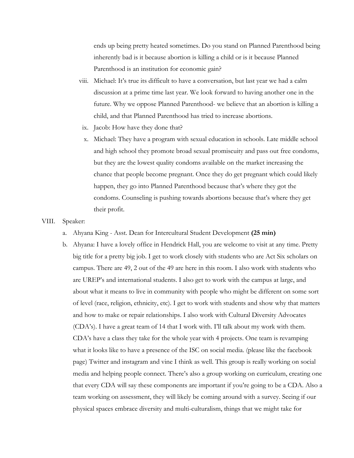ends up being pretty heated sometimes. Do you stand on Planned Parenthood being inherently bad is it because abortion is killing a child or is it because Planned Parenthood is an institution for economic gain?

- viii. Michael: It's true its difficult to have a conversation, but last year we had a calm discussion at a prime time last year. We look forward to having another one in the future. Why we oppose Planned Parenthood- we believe that an abortion is killing a child, and that Planned Parenthood has tried to increase abortions.
- ix. Jacob: How have they done that?
- x. Michael: They have a program with sexual education in schools. Late middle school and high school they promote broad sexual promiscuity and pass out free condoms, but they are the lowest quality condoms available on the market increasing the chance that people become pregnant. Once they do get pregnant which could likely happen, they go into Planned Parenthood because that's where they got the condoms. Counseling is pushing towards abortions because that's where they get their profit.
- VIII. Speaker:
	- a. Ahyana King Asst. Dean for Intercultural Student Development **(25 min)**
	- b. Ahyana: I have a lovely office in Hendrick Hall, you are welcome to visit at any time. Pretty big title for a pretty big job. I get to work closely with students who are Act Six scholars on campus. There are 49, 2 out of the 49 are here in this room. I also work with students who are UREP's and international students. I also get to work with the campus at large, and about what it means to live in community with people who might be different on some sort of level (race, religion, ethnicity, etc). I get to work with students and show why that matters and how to make or repair relationships. I also work with Cultural Diversity Advocates (CDA's). I have a great team of 14 that I work with. I'll talk about my work with them. CDA's have a class they take for the whole year with 4 projects. One team is revamping what it looks like to have a presence of the ISC on social media. (please like the facebook page) Twitter and instagram and vine I think as well. This group is really working on social media and helping people connect. There's also a group working on curriculum, creating one that every CDA will say these components are important if you're going to be a CDA. Also a team working on assessment, they will likely be coming around with a survey. Seeing if our physical spaces embrace diversity and multi-culturalism, things that we might take for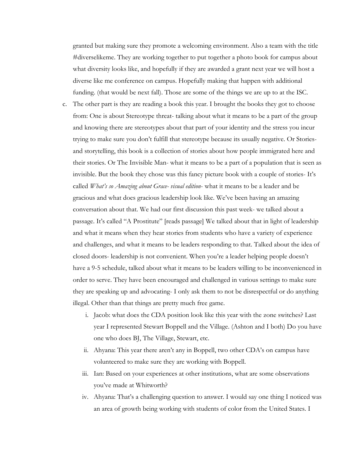granted but making sure they promote a welcoming environment. Also a team with the title #diverselikeme. They are working together to put together a photo book for campus about what diversity looks like, and hopefully if they are awarded a grant next year we will host a diverse like me conference on campus. Hopefully making that happen with additional funding. (that would be next fall). Those are some of the things we are up to at the ISC.

- c. The other part is they are reading a book this year. I brought the books they got to choose from: One is about Stereotype threat- talking about what it means to be a part of the group and knowing there are stereotypes about that part of your identity and the stress you incur trying to make sure you don't fulfill that stereotype because its usually negative. Or Storiesand storytelling, this book is a collection of stories about how people immigrated here and their stories. Or The Invisible Man- what it means to be a part of a population that is seen as invisible. But the book they chose was this fancy picture book with a couple of stories- It's called *What's so Amazing about Grace- visual edition*- what it means to be a leader and be gracious and what does gracious leadership look like. We've been having an amazing conversation about that. We had our first discussion this past week- we talked about a passage. It's called "A Prostitute" [reads passage] We talked about that in light of leadership and what it means when they hear stories from students who have a variety of experience and challenges, and what it means to be leaders responding to that. Talked about the idea of closed doors- leadership is not convenient. When you're a leader helping people doesn't have a 9-5 schedule, talked about what it means to be leaders willing to be inconvenienced in order to serve. They have been encouraged and challenged in various settings to make sure they are speaking up and advocating- I only ask them to not be disrespectful or do anything illegal. Other than that things are pretty much free game.
	- i. Jacob: what does the CDA position look like this year with the zone switches? Last year I represented Stewart Boppell and the Village. (Ashton and I both) Do you have one who does BJ, The Village, Stewart, etc.
	- ii. Ahyana: This year there aren't any in Boppell, two other CDA's on campus have volunteered to make sure they are working with Boppell.
	- iii. Ian: Based on your experiences at other institutions, what are some observations you've made at Whitworth?
	- iv. Ahyana: That's a challenging question to answer. I would say one thing I noticed was an area of growth being working with students of color from the United States. I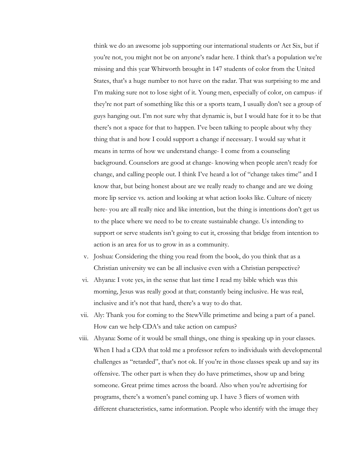think we do an awesome job supporting our international students or Act Six, but if you're not, you might not be on anyone's radar here. I think that's a population we're missing and this year Whitworth brought in 147 students of color from the United States, that's a huge number to not have on the radar. That was surprising to me and I'm making sure not to lose sight of it. Young men, especially of color, on campus- if they're not part of something like this or a sports team, I usually don't see a group of guys hanging out. I'm not sure why that dynamic is, but I would hate for it to be that there's not a space for that to happen. I've been talking to people about why they thing that is and how I could support a change if necessary. I would say what it means in terms of how we understand change- I come from a counseling background. Counselors are good at change- knowing when people aren't ready for change, and calling people out. I think I've heard a lot of "change takes time" and I know that, but being honest about are we really ready to change and are we doing more lip service vs. action and looking at what action looks like. Culture of nicety here- you are all really nice and like intention, but the thing is intentions don't get us to the place where we need to be to create sustainable change. Us intending to support or serve students isn't going to cut it, crossing that bridge from intention to action is an area for us to grow in as a community.

- v. Joshua: Considering the thing you read from the book, do you think that as a Christian university we can be all inclusive even with a Christian perspective?
- vi. Ahyana: I vote yes, in the sense that last time I read my bible which was this morning, Jesus was really good at that; constantly being inclusive. He was real, inclusive and it's not that hard, there's a way to do that.
- vii. Aly: Thank you for coming to the StewVille primetime and being a part of a panel. How can we help CDA's and take action on campus?
- viii. Ahyana: Some of it would be small things, one thing is speaking up in your classes. When I had a CDA that told me a professor refers to individuals with developmental challenges as "retarded", that's not ok. If you're in those classes speak up and say its offensive. The other part is when they do have primetimes, show up and bring someone. Great prime times across the board. Also when you're advertising for programs, there's a women's panel coming up. I have 3 fliers of women with different characteristics, same information. People who identify with the image they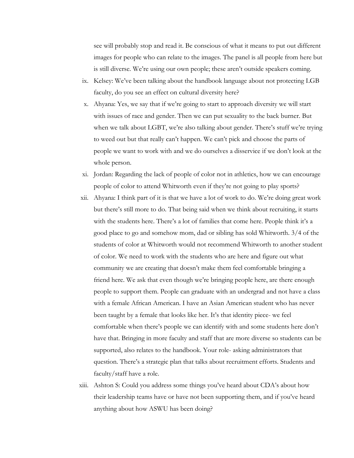see will probably stop and read it. Be conscious of what it means to put out different images for people who can relate to the images. The panel is all people from here but is still diverse. We're using our own people; these aren't outside speakers coming.

- ix. Kelsey: We've been talking about the handbook language about not protecting LGB faculty, do you see an effect on cultural diversity here?
- x. Ahyana: Yes, we say that if we're going to start to approach diversity we will start with issues of race and gender. Then we can put sexuality to the back burner. But when we talk about LGBT, we're also talking about gender. There's stuff we're trying to weed out but that really can't happen. We can't pick and choose the parts of people we want to work with and we do ourselves a disservice if we don't look at the whole person.
- xi. Jordan: Regarding the lack of people of color not in athletics, how we can encourage people of color to attend Whitworth even if they're not going to play sports?
- xii. Ahyana: I think part of it is that we have a lot of work to do. We're doing great work but there's still more to do. That being said when we think about recruiting, it starts with the students here. There's a lot of families that come here. People think it's a good place to go and somehow mom, dad or sibling has sold Whitworth. 3/4 of the students of color at Whitworth would not recommend Whitworth to another student of color. We need to work with the students who are here and figure out what community we are creating that doesn't make them feel comfortable bringing a friend here. We ask that even though we're bringing people here, are there enough people to support them. People can graduate with an undergrad and not have a class with a female African American. I have an Asian American student who has never been taught by a female that looks like her. It's that identity piece- we feel comfortable when there's people we can identify with and some students here don't have that. Bringing in more faculty and staff that are more diverse so students can be supported, also relates to the handbook. Your role- asking administrators that question. There's a strategic plan that talks about recruitment efforts. Students and faculty/staff have a role.
- xiii. Ashton S: Could you address some things you've heard about CDA's about how their leadership teams have or have not been supporting them, and if you've heard anything about how ASWU has been doing?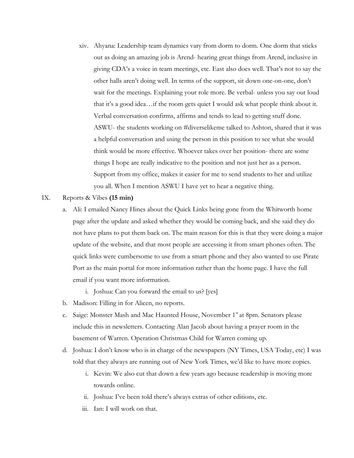- xiv. Ahyana: Leadership team dynamics vary from dorm to dorm. One dorm that sticks out as doing an amazing job is Arend- hearing great things from Arend, inclusive in giving CDA's a voice in team meetings, etc. East also does well. That's not to say the other halls aren't doing well. In terms of the support, sit down one-on-one, don't wait for the meetings. Explaining your role more. Be verbal- unless you say out loud that it's a good idea…if the room gets quiet I would ask what people think about it. Verbal conversation confirms, affirms and tends to lead to getting stuff done. ASWU- the students working on #diverselikeme talked to Ashton, shared that it was a helpful conversation and using the person in this position to see what she would think would be more effective. Whoever takes over her position- there are some things I hope are really indicative to the position and not just her as a person. Support from my office, makes it easier for me to send students to her and utilize you all. When I mention ASWU I have yet to hear a negative thing.
- IX. Reports & Vibes **(15 min)**
	- a. Ali: I emailed Nancy Hines about the Quick Links being gone from the Whitworth home page after the update and asked whether they would be coming back, and she said they do not have plans to put them back on. The main reason for this is that they were doing a major update of the website, and that most people are accessing it from smart phones often. The quick links were cumbersome to use from a smart phone and they also wanted to use Pirate Port as the main portal for more information rather than the home page. I have the full email if you want more information.
		- i. Joshua: Can you forward the email to us? [yes]
	- b. Madison: Filling in for Alicen, no reports.
	- c. Saige: Monster Mash and Mac Haunted House, November 1<sup>st</sup> at 8pm. Senators please include this in newsletters. Contacting Alan Jacob about having a prayer room in the basement of Warren. Operation Christmas Child for Warren coming up.
	- d. Joshua: I don't know who is in charge of the newspapers (NY Times, USA Today, etc) I was told that they always are running out of New York Times, we'd like to have more copies.
		- i. Kevin: We also cut that down a few years ago because readership is moving more towards online.
		- ii. Joshua: I've been told there's always extras of other editions, etc.
		- iii. Ian: I will work on that.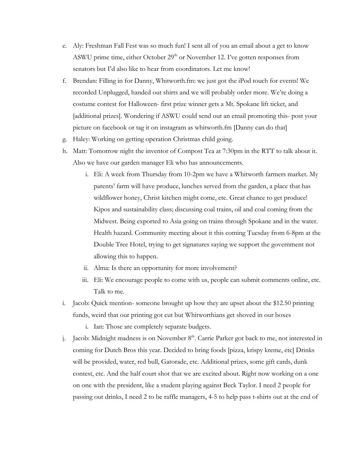- e. Aly: Freshman Fall Fest was so much fun! I sent all of you an email about a get to know ASWU prime time, either October  $29<sup>th</sup>$  or November 12. I've gotten responses from senators but I'd also like to hear from coordinators. Let me know!
- f. Brendan: Filling in for Danny, Whitworth.fm: we just got the iPod touch for events! We recorded Unplugged, handed out shirts and we will probably order more. We're doing a costume contest for Halloween- first prize winner gets a Mt. Spokane lift ticket, and [additional prizes]. Wondering if ASWU could send out an email promoting this- post your picture on facebook or tag it on instagram as whitworth.fm [Danny can do that]
- g. Haley: Working on getting operation Christmas child going.
- h. Matt: Tomorrow night the inventor of Compost Tea at 7:30pm in the RTT to talk about it. Also we have our garden manager Eli who has announcements.
	- i. Eli: A week from Thursday from 10-2pm we have a Whitworth farmers market. My parents' farm will have produce, lunches served from the garden, a place that has wildflower honey, Christ kitchen might come, etc. Great chance to get produce! Kipos and sustainability class; discussing coal trains, oil and coal coming from the Midwest. Being exported to Asia going on trains through Spokane and in the water. Health hazard. Community meeting about it this coming Tuesday from 6-8pm at the Double Tree Hotel, trying to get signatures saying we support the government not allowing this to happen.
	- ii. Alma: Is there an opportunity for more involvement?
	- iii. Eli: We encourage people to come with us, people can submit comments online, etc. Talk to me.
- i. Jacob: Quick mention- someone brought up how they are upset about the \$12.50 printing funds, weird that our printing got cut but Whitworthians get shoved in our boxes
	- i. Ian: Those are completely separate budgets.
- j. Jacob: Midnight madness is on November  $8<sup>th</sup>$ . Carrie Parker got back to me, not interested in coming for Dutch Bros this year. Decided to bring foods [pizza, krispy kreme, etc] Drinks will be provided, water, red bull, Gatorade, etc. Additional prizes, some gift cards, dunk contest, etc. And the half court shot that we are excited about. Right now working on a one on one with the president, like a student playing against Beck Taylor. I need 2 people for passing out drinks, I need 2 to be raffle managers, 4-5 to help pass t-shirts out at the end of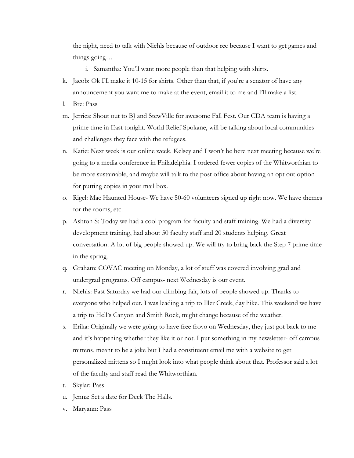the night, need to talk with Niehls because of outdoor rec because I want to get games and things going…

i. Samantha: You'll want more people than that helping with shirts.

- k. Jacob: Ok I'll make it 10-15 for shirts. Other than that, if you're a senator of have any announcement you want me to make at the event, email it to me and I'll make a list.
- l. Bre: Pass
- m. Jerrica: Shout out to BJ and StewVille for awesome Fall Fest. Our CDA team is having a prime time in East tonight. World Relief Spokane, will be talking about local communities and challenges they face with the refugees.
- n. Katie: Next week is our online week. Kelsey and I won't be here next meeting because we're going to a media conference in Philadelphia. I ordered fewer copies of the Whitworthian to be more sustainable, and maybe will talk to the post office about having an opt out option for putting copies in your mail box.
- o. Rigel: Mac Haunted House- We have 50-60 volunteers signed up right now. We have themes for the rooms, etc.
- p. Ashton S: Today we had a cool program for faculty and staff training. We had a diversity development training, had about 50 faculty staff and 20 students helping. Great conversation. A lot of big people showed up. We will try to bring back the Step 7 prime time in the spring.
- q. Graham: COVAC meeting on Monday, a lot of stuff was covered involving grad and undergrad programs. Off campus- next Wednesday is our event.
- r. Niehls: Past Saturday we had our climbing fair, lots of people showed up. Thanks to everyone who helped out. I was leading a trip to Iller Creek, day hike. This weekend we have a trip to Hell's Canyon and Smith Rock, might change because of the weather.
- s. Erika: Originally we were going to have free froyo on Wednesday, they just got back to me and it's happening whether they like it or not. I put something in my newsletter- off campus mittens, meant to be a joke but I had a constituent email me with a website to get personalized mittens so I might look into what people think about that. Professor said a lot of the faculty and staff read the Whitworthian.
- t. Skylar: Pass
- u. Jenna: Set a date for Deck The Halls.
- v. Maryann: Pass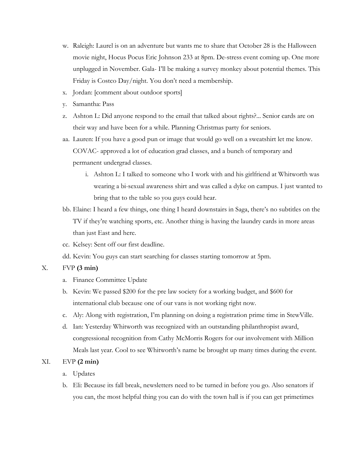- w. Raleigh: Laurel is on an adventure but wants me to share that October 28 is the Halloween movie night, Hocus Pocus Eric Johnson 233 at 8pm. De-stress event coming up. One more unplugged in November. Gala- I'll be making a survey monkey about potential themes. This Friday is Costco Day/night. You don't need a membership.
- x. Jordan: [comment about outdoor sports]
- y. Samantha: Pass
- z. Ashton L: Did anyone respond to the email that talked about rights?... Senior cards are on their way and have been for a while. Planning Christmas party for seniors.
- aa. Lauren: If you have a good pun or image that would go well on a sweatshirt let me know. COVAC- approved a lot of education grad classes, and a bunch of temporary and permanent undergrad classes.
	- i. Ashton L: I talked to someone who I work with and his girlfriend at Whitworth was wearing a bi-sexual awareness shirt and was called a dyke on campus. I just wanted to bring that to the table so you guys could hear.
- bb. Elaine: I heard a few things, one thing I heard downstairs in Saga, there's no subtitles on the TV if they're watching sports, etc. Another thing is having the laundry cards in more areas than just East and here.
- cc. Kelsey: Sent off our first deadline.
- dd. Kevin: You guys can start searching for classes starting tomorrow at 5pm.

## X. FVP **(3 min)**

- a. Finance Committee Update
- b. Kevin: We passed \$200 for the pre law society for a working budget, and \$600 for international club because one of our vans is not working right now.
- c. Aly: Along with registration, I'm planning on doing a registration prime time in StewVille.
- d. Ian: Yesterday Whitworth was recognized with an outstanding philanthropist award, congressional recognition from Cathy McMorris Rogers for our involvement with Million Meals last year. Cool to see Whitworth's name be brought up many times during the event.

## XI. EVP **(2 min)**

- a. Updates
- b. Eli: Because its fall break, newsletters need to be turned in before you go. Also senators if you can, the most helpful thing you can do with the town hall is if you can get primetimes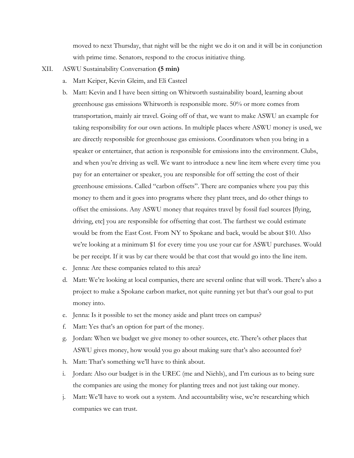moved to next Thursday, that night will be the night we do it on and it will be in conjunction with prime time. Senators, respond to the crocus initiative thing.

- XII. ASWU Sustainability Conversation **(5 min)**
	- a. Matt Keiper, Kevin Gleim, and Eli Casteel
	- b. Matt: Kevin and I have been sitting on Whitworth sustainability board, learning about greenhouse gas emissions Whitworth is responsible more. 50% or more comes from transportation, mainly air travel. Going off of that, we want to make ASWU an example for taking responsibility for our own actions. In multiple places where ASWU money is used, we are directly responsible for greenhouse gas emissions. Coordinators when you bring in a speaker or entertainer, that action is responsible for emissions into the environment. Clubs, and when you're driving as well. We want to introduce a new line item where every time you pay for an entertainer or speaker, you are responsible for off setting the cost of their greenhouse emissions. Called "carbon offsets". There are companies where you pay this money to them and it goes into programs where they plant trees, and do other things to offset the emissions. Any ASWU money that requires travel by fossil fuel sources [flying, driving, etc] you are responsible for offsetting that cost. The farthest we could estimate would be from the East Cost. From NY to Spokane and back, would be about \$10. Also we're looking at a minimum \$1 for every time you use your car for ASWU purchases. Would be per receipt. If it was by car there would be that cost that would go into the line item.
	- c. Jenna: Are these companies related to this area?
	- d. Matt: We're looking at local companies, there are several online that will work. There's also a project to make a Spokane carbon market, not quite running yet but that's our goal to put money into.
	- e. Jenna: Is it possible to set the money aside and plant trees on campus?
	- f. Matt: Yes that's an option for part of the money.
	- g. Jordan: When we budget we give money to other sources, etc. There's other places that ASWU gives money, how would you go about making sure that's also accounted for?
	- h. Matt: That's something we'll have to think about.
	- i. Jordan: Also our budget is in the UREC (me and Niehls), and I'm curious as to being sure the companies are using the money for planting trees and not just taking our money.
	- j. Matt: We'll have to work out a system. And accountability wise, we're researching which companies we can trust.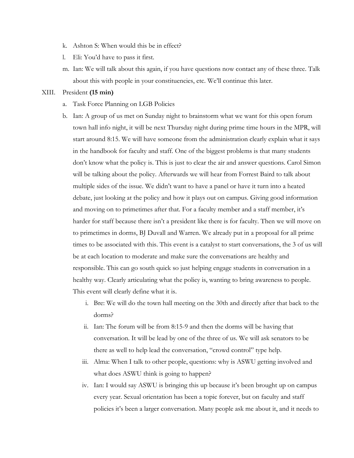- k. Ashton S: When would this be in effect?
- l. Eli: You'd have to pass it first.
- m. Ian: We will talk about this again, if you have questions now contact any of these three. Talk about this with people in your constituencies, etc. We'll continue this later.

## XIII. President **(15 min)**

- a. Task Force Planning on LGB Policies
- b. Ian: A group of us met on Sunday night to brainstorm what we want for this open forum town hall info night, it will be next Thursday night during prime time hours in the MPR, will start around 8:15. We will have someone from the administration clearly explain what it says in the handbook for faculty and staff. One of the biggest problems is that many students don't know what the policy is. This is just to clear the air and answer questions. Carol Simon will be talking about the policy. Afterwards we will hear from Forrest Baird to talk about multiple sides of the issue. We didn't want to have a panel or have it turn into a heated debate, just looking at the policy and how it plays out on campus. Giving good information and moving on to primetimes after that. For a faculty member and a staff member, it's harder for staff because there isn't a president like there is for faculty. Then we will move on to primetimes in dorms, BJ Duvall and Warren. We already put in a proposal for all prime times to be associated with this. This event is a catalyst to start conversations, the 3 of us will be at each location to moderate and make sure the conversations are healthy and responsible. This can go south quick so just helping engage students in conversation in a healthy way. Clearly articulating what the policy is, wanting to bring awareness to people. This event will clearly define what it is.
	- i. Bre: We will do the town hall meeting on the 30th and directly after that back to the dorms?
	- ii. Ian: The forum will be from 8:15-9 and then the dorms will be having that conversation. It will be lead by one of the three of us. We will ask senators to be there as well to help lead the conversation, "crowd control" type help.
	- iii. Alma: When I talk to other people, questions: why is ASWU getting involved and what does ASWU think is going to happen?
	- iv. Ian: I would say ASWU is bringing this up because it's been brought up on campus every year. Sexual orientation has been a topic forever, but on faculty and staff policies it's been a larger conversation. Many people ask me about it, and it needs to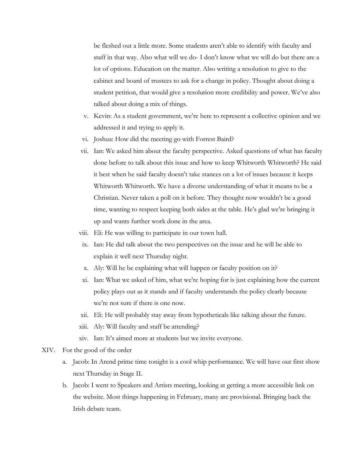be fleshed out a little more. Some students aren't able to identify with faculty and staff in that way. Also what will we do- I don't know what we will do but there are a lot of options. Education on the matter. Also writing a resolution to give to the cabinet and board of trustees to ask for a change in policy. Thought about doing a student petition, that would give a resolution more credibility and power. We've also talked about doing a mix of things.

- v. Kevin: As a student government, we're here to represent a collective opinion and we addressed it and trying to apply it.
- vi. Joshua: How did the meeting go with Forrest Baird?
- vii. Ian: We asked him about the faculty perspective. Asked questions of what has faculty done before to talk about this issue and how to keep Whitworth Whitworth? He said it best when he said faculty doesn't take stances on a lot of issues because it keeps Whitworth Whitworth. We have a diverse understanding of what it means to be a Christian. Never taken a poll on it before. They thought now wouldn't be a good time, wanting to respect keeping both sides at the table. He's glad we're bringing it up and wants further work done in the area.
- viii. Eli: He was willing to participate in our town hall.
- ix. Ian: He did talk about the two perspectives on the issue and he will be able to explain it well next Thursday night.
- x. Aly: Will he be explaining what will happen or faculty position on it?
- xi. Ian: What we asked of him, what we're hoping for is just explaining how the current policy plays out as it stands and if faculty understands the policy clearly because we're not sure if there is one now.
- xii. Eli: He will probably stay away from hypotheticals like talking about the future.
- xiii. Aly: Will faculty and staff be attending?
- xiv. Ian: It's aimed more at students but we invite everyone.
- XIV. For the good of the order
	- a. Jacob: In Arend prime time tonight is a cool whip performance. We will have our first show next Thursday in Stage II.
	- b. Jacob: I went to Speakers and Artists meeting, looking at getting a more accessible link on the website. Most things happening in February, many are provisional. Bringing back the Irish debate team.